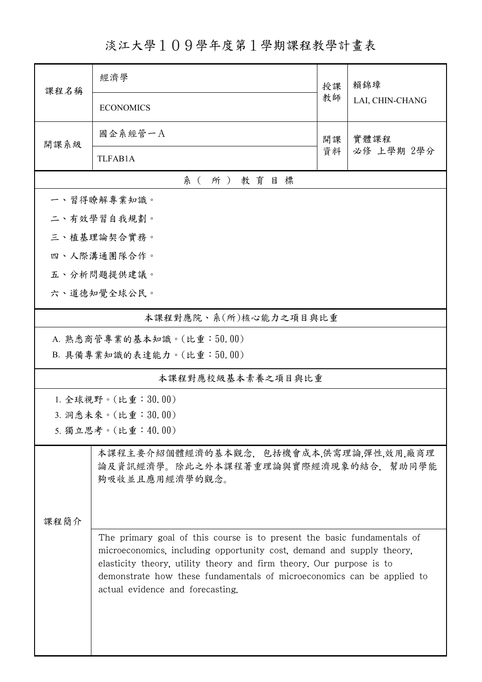淡江大學109學年度第1學期課程教學計畫表

| 課程名稱                  | 經濟學                                                                                                                                                                                                                                                                                                                                    |          | 賴錦璋                |  |  |  |
|-----------------------|----------------------------------------------------------------------------------------------------------------------------------------------------------------------------------------------------------------------------------------------------------------------------------------------------------------------------------------|----------|--------------------|--|--|--|
|                       | <b>ECONOMICS</b>                                                                                                                                                                                                                                                                                                                       | 教師       | LAI, CHIN-CHANG    |  |  |  |
| 開課系級                  | 國企系經管一A                                                                                                                                                                                                                                                                                                                                | 開課<br>資料 | 實體課程<br>必修 上學期 2學分 |  |  |  |
|                       | <b>TLFAB1A</b>                                                                                                                                                                                                                                                                                                                         |          |                    |  |  |  |
| 系(所)教育目標              |                                                                                                                                                                                                                                                                                                                                        |          |                    |  |  |  |
|                       | 一、習得瞭解專業知識。                                                                                                                                                                                                                                                                                                                            |          |                    |  |  |  |
|                       | 二、有效學習自我規劃。                                                                                                                                                                                                                                                                                                                            |          |                    |  |  |  |
|                       | 三、植基理論契合實務。                                                                                                                                                                                                                                                                                                                            |          |                    |  |  |  |
|                       | 四、人際溝通團隊合作。                                                                                                                                                                                                                                                                                                                            |          |                    |  |  |  |
|                       | 五、分析問題提供建議。                                                                                                                                                                                                                                                                                                                            |          |                    |  |  |  |
|                       | 六、道德知覺全球公民。                                                                                                                                                                                                                                                                                                                            |          |                    |  |  |  |
| 本課程對應院、系(所)核心能力之項目與比重 |                                                                                                                                                                                                                                                                                                                                        |          |                    |  |  |  |
|                       | A. 熟悉商管專業的基本知識。(比重:50.00)                                                                                                                                                                                                                                                                                                              |          |                    |  |  |  |
|                       | B. 具備專業知識的表達能力。(比重:50.00)                                                                                                                                                                                                                                                                                                              |          |                    |  |  |  |
| 本課程對應校級基本素養之項目與比重     |                                                                                                                                                                                                                                                                                                                                        |          |                    |  |  |  |
|                       | 1. 全球視野。(比重: 30.00)                                                                                                                                                                                                                                                                                                                    |          |                    |  |  |  |
|                       | 3. 洞悉未來。(比重:30.00)                                                                                                                                                                                                                                                                                                                     |          |                    |  |  |  |
|                       | 5. 獨立思考。(比重:40.00)                                                                                                                                                                                                                                                                                                                     |          |                    |  |  |  |
|                       | 本課程主要介紹個體經濟的基本觀念,包括機會成本,供需理論,彈性,效用,廠商理<br>論及資訊經濟學。除此之外本課程著重理論與實際經濟現象的結合,幫助同學能<br>夠吸收並且應用經濟學的觀念。                                                                                                                                                                                                                                        |          |                    |  |  |  |
| 課程簡介                  |                                                                                                                                                                                                                                                                                                                                        |          |                    |  |  |  |
|                       | The primary goal of this course is to present the basic fundamentals of<br>microeconomics, including opportunity cost, demand and supply theory,<br>elasticity theory, utility theory and firm theory. Our purpose is to<br>demonstrate how these fundamentals of microeconomics can be applied to<br>actual evidence and forecasting. |          |                    |  |  |  |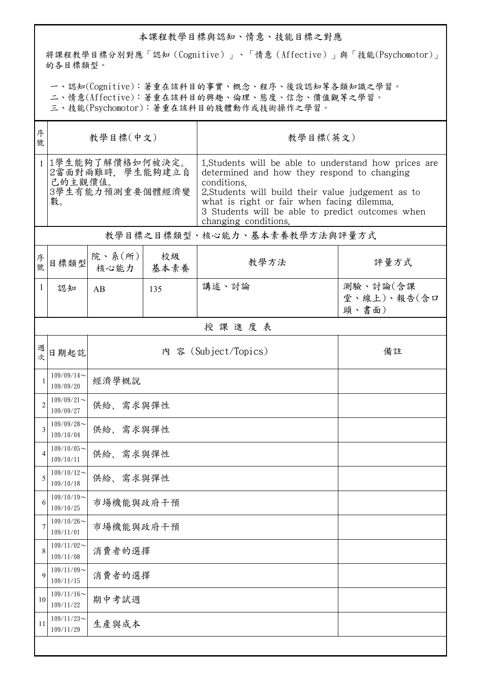## 本課程教學目標與認知、情意、技能目標之對應

將課程教學目標分別對應「認知(Cognitive)」、「情意(Affective)」與「技能(Psychomotor)」 的各目標類型。

一、認知(Cognitive):著重在該科目的事實、概念、程序、後設認知等各類知識之學習。

二、情意(Affective):著重在該科目的興趣、倫理、態度、信念、價值觀等之學習。

三、技能(Psychomotor):著重在該科目的肢體動作或技術操作之學習。

| 序<br>號 | 教學目標(中文)                                                                  |                              |            | 教學目標(英文)                                                                                                                                                                                                                                                                                            |                                  |  |  |  |
|--------|---------------------------------------------------------------------------|------------------------------|------------|-----------------------------------------------------------------------------------------------------------------------------------------------------------------------------------------------------------------------------------------------------------------------------------------------------|----------------------------------|--|--|--|
|        | 1 1學生能夠了解價格如何被決定。<br>2當面對兩難時, 學生能夠建立自<br>己的主觀價值。<br>3學生有能力預測重要個體經濟變<br>數。 |                              |            | 1. Students will be able to understand how prices are<br>determined and how they respond to changing<br>conditions.<br>2. Students will build their value judgement as to<br>what is right or fair when facing dilemma.<br>3 Students will be able to predict outcomes when<br>changing conditions. |                                  |  |  |  |
|        | 教學目標之目標類型、核心能力、基本素養教學方法與評量方式                                              |                              |            |                                                                                                                                                                                                                                                                                                     |                                  |  |  |  |
| 序號     | 目標類型                                                                      | 院、系 $(\hbox{\tt m})$<br>核心能力 | 校級<br>基本素養 | 教學方法                                                                                                                                                                                                                                                                                                | 評量方式                             |  |  |  |
| 1      | 認知                                                                        | AB                           | 135        | 講述、討論                                                                                                                                                                                                                                                                                               | 測驗、討論(含課<br>堂、線上)、報告(含口<br>頭、書面) |  |  |  |
|        | 授課進度表                                                                     |                              |            |                                                                                                                                                                                                                                                                                                     |                                  |  |  |  |
| 週<br>次 | 日期起訖                                                                      |                              |            | 內 客 (Subject/Topics)                                                                                                                                                                                                                                                                                | 備註                               |  |  |  |
|        | $109/09/14$ ~<br>109/09/20                                                | 經濟學概說                        |            |                                                                                                                                                                                                                                                                                                     |                                  |  |  |  |
| 2      | $109/09/21$ ~<br>109/09/27                                                | 供給、需求與彈性                     |            |                                                                                                                                                                                                                                                                                                     |                                  |  |  |  |
| 3      | $109/09/28$ ~<br>109/10/04                                                | 供給、需求與彈性                     |            |                                                                                                                                                                                                                                                                                                     |                                  |  |  |  |
| 4      | $109/10/05$ ~<br>109/10/11                                                | 供給、需求與彈性                     |            |                                                                                                                                                                                                                                                                                                     |                                  |  |  |  |
| 5      | $109/10/12$ ~<br>109/10/18                                                | 供給、需求與彈性                     |            |                                                                                                                                                                                                                                                                                                     |                                  |  |  |  |
| 6      | $109/10/19$ ~<br>109/10/25                                                | 市場機能與政府干預                    |            |                                                                                                                                                                                                                                                                                                     |                                  |  |  |  |
| 7      | $109/10/26$ ~<br>109/11/01                                                | 市場機能與政府干預                    |            |                                                                                                                                                                                                                                                                                                     |                                  |  |  |  |
| 8      | $109/11/02$ ~<br>109/11/08                                                | 消費者的選擇                       |            |                                                                                                                                                                                                                                                                                                     |                                  |  |  |  |
| 9      | $109/11/09$ ~<br>109/11/15                                                | 消費者的選擇                       |            |                                                                                                                                                                                                                                                                                                     |                                  |  |  |  |
| 10     | $109/11/16$ ~<br>109/11/22                                                | 期中考試週                        |            |                                                                                                                                                                                                                                                                                                     |                                  |  |  |  |
| 11     | $109/11/23$ ~<br>109/11/29                                                | 生產與成本                        |            |                                                                                                                                                                                                                                                                                                     |                                  |  |  |  |
|        |                                                                           |                              |            |                                                                                                                                                                                                                                                                                                     |                                  |  |  |  |